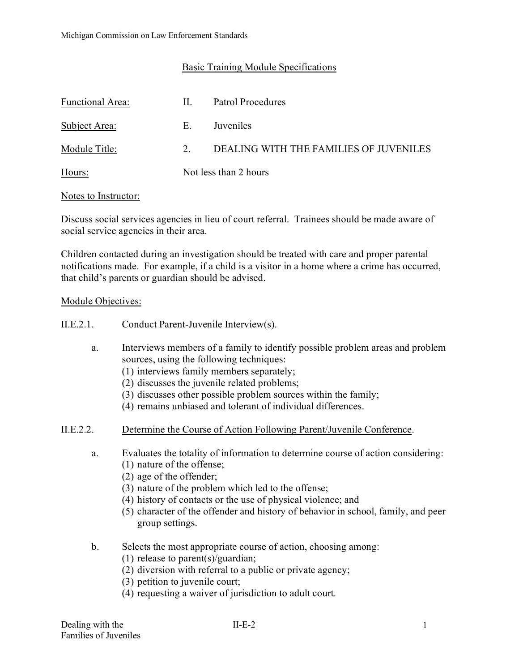## Basic Training Module Specifications

| Functional Area: | Н.            | Patrol Procedures                      |
|------------------|---------------|----------------------------------------|
| Subject Area:    | Е.            | Juveniles                              |
| Module Title:    | $\mathcal{P}$ | DEALING WITH THE FAMILIES OF JUVENILES |
| Hours:           |               | Not less than 2 hours                  |

## Notes to Instructor:

Discuss social services agencies in lieu of court referral. Trainees should be made aware of social service agencies in their area.

Children contacted during an investigation should be treated with care and proper parental notifications made. For example, if a child is a visitor in a home where a crime has occurred, that child's parents or guardian should be advised.

## Module Objectives:

| II.E.2.1. | Conduct Parent-Juvenile Interview(s). |  |
|-----------|---------------------------------------|--|
|           |                                       |  |

- a. Interviews members of a family to identify possible problem areas and problem sources, using the following techniques:
	- (1) interviews family members separately;
	- (2) discusses the juvenile related problems;
	- (3) discusses other possible problem sources within the family;
	- (4) remains unbiased and tolerant of individual differences.
- II.E.2.2. Determine the Course of Action Following Parent/Juvenile Conference.
	- a. Evaluates the totality of information to determine course of action considering: (1) nature of the offense;
		- (2) age of the offender;
		- (3) nature of the problem which led to the offense;
		- (4) history of contacts or the use of physical violence; and
		- (5) character of the offender and history of behavior in school, family, and peer group settings.
	- b. Selects the most appropriate course of action, choosing among:
		- (1) release to parent(s)/guardian;
		- (2) diversion with referral to a public or private agency;
		- (3) petition to juvenile court;
		- (4) requesting a waiver of jurisdiction to adult court.